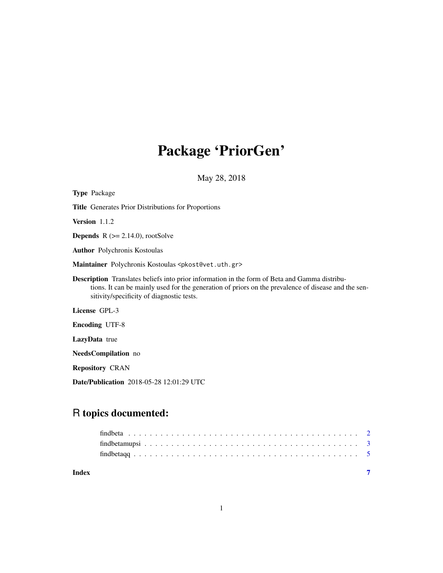# Package 'PriorGen'

May 28, 2018

| <b>Type Package</b>                                                                                                                                                                                                                                      |
|----------------------------------------------------------------------------------------------------------------------------------------------------------------------------------------------------------------------------------------------------------|
| <b>Title</b> Generates Prior Distributions for Proportions                                                                                                                                                                                               |
| Version $1.1.2$                                                                                                                                                                                                                                          |
| <b>Depends</b> $R$ ( $>= 2.14.0$ ), rootSolve                                                                                                                                                                                                            |
| <b>Author</b> Polychronis Kostoulas                                                                                                                                                                                                                      |
| Maintainer Polychronis Kostoulas <pkost@vet.uth.gr></pkost@vet.uth.gr>                                                                                                                                                                                   |
| <b>Description</b> Translates beliefs into prior information in the form of Beta and Gamma distribu-<br>tions. It can be mainly used for the generation of priors on the prevalence of disease and the sen-<br>sitivity/specificity of diagnostic tests. |
| License GPL-3                                                                                                                                                                                                                                            |
| <b>Encoding UTF-8</b>                                                                                                                                                                                                                                    |
| <b>LazyData</b> true                                                                                                                                                                                                                                     |
| <b>NeedsCompilation</b> no                                                                                                                                                                                                                               |
| <b>Repository CRAN</b>                                                                                                                                                                                                                                   |
| <b>Date/Publication</b> 2018-05-28 12:01:29 UTC                                                                                                                                                                                                          |

# R topics documented:

| Index |  |  |
|-------|--|--|
|       |  |  |
|       |  |  |
|       |  |  |
|       |  |  |

1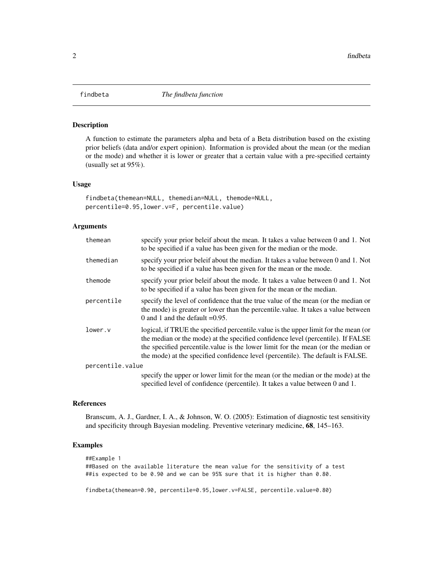<span id="page-1-0"></span>

#### Description

A function to estimate the parameters alpha and beta of a Beta distribution based on the existing prior beliefs (data and/or expert opinion). Information is provided about the mean (or the median or the mode) and whether it is lower or greater that a certain value with a pre-specified certainty (usually set at 95%).

#### Usage

```
findbeta(themean=NULL, themedian=NULL, themode=NULL,
percentile=0.95,lower.v=F, percentile.value)
```
# Arguments

| themean          | specify your prior beleif about the mean. It takes a value between 0 and 1. Not<br>to be specified if a value has been given for the median or the mode.                                                                                                                                                                                       |  |  |  |
|------------------|------------------------------------------------------------------------------------------------------------------------------------------------------------------------------------------------------------------------------------------------------------------------------------------------------------------------------------------------|--|--|--|
| themedian        | specify your prior beleif about the median. It takes a value between 0 and 1. Not<br>to be specified if a value has been given for the mean or the mode.                                                                                                                                                                                       |  |  |  |
| themode          | specify your prior beleif about the mode. It takes a value between 0 and 1. Not<br>to be specified if a value has been given for the mean or the median.                                                                                                                                                                                       |  |  |  |
| percentile       | specify the level of confidence that the true value of the mean (or the median or<br>the mode) is greater or lower than the percentile value. It takes a value between<br>0 and 1 and the default $=0.95$ .                                                                                                                                    |  |  |  |
| lower.v          | logical, if TRUE the specified percentile value is the upper limit for the mean (or<br>the median or the mode) at the specified confidence level (percentile). If FALSE<br>the specified percentile value is the lower limit for the mean (or the median or<br>the mode) at the specified confidence level (percentile). The default is FALSE. |  |  |  |
| percentile.value |                                                                                                                                                                                                                                                                                                                                                |  |  |  |
|                  | specify the upper or lower limit for the mean (or the median or the mode) at the                                                                                                                                                                                                                                                               |  |  |  |

specified level of confidence (percentile). It takes a value between 0 and 1.

### References

Branscum, A. J., Gardner, I. A., & Johnson, W. O. (2005): Estimation of diagnostic test sensitivity and specificity through Bayesian modeling. Preventive veterinary medicine, 68, 145–163.

## Examples

```
##Example 1
##Based on the available literature the mean value for the sensitivity of a test
##is expected to be 0.90 and we can be 95% sure that it is higher than 0.80.
```
findbeta(themean=0.90, percentile=0.95,lower.v=FALSE, percentile.value=0.80)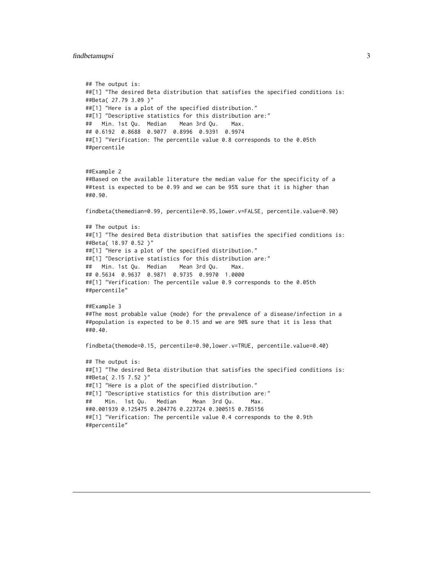#### <span id="page-2-0"></span>findbetamupsi 3

```
## The output is:
##[1] "The desired Beta distribution that satisfies the specified conditions is:
##Beta( 27.79 3.09 )"
##[1] "Here is a plot of the specified distribution."
##[1] "Descriptive statistics for this distribution are:"
## Min. 1st Qu. Median Mean 3rd Qu. Max.
## 0.6192 0.8688 0.9077 0.8996 0.9391 0.9974
##[1] "Verification: The percentile value 0.8 corresponds to the 0.05th
##percentile
##Example 2
##Based on the available literature the median value for the specificity of a
##test is expected to be 0.99 and we can be 95% sure that it is higher than
##0.90.
findbeta(themedian=0.99, percentile=0.95,lower.v=FALSE, percentile.value=0.90)
## The output is:
##[1] "The desired Beta distribution that satisfies the specified conditions is:
##Beta( 18.97 0.52 )"
##[1] "Here is a plot of the specified distribution."
##[1] "Descriptive statistics for this distribution are:"
## Min. 1st Qu. Median Mean 3rd Qu. Max.
## 0.5634 0.9637 0.9871 0.9735 0.9970 1.0000
##[1] "Verification: The percentile value 0.9 corresponds to the 0.05th
##percentile"
##Example 3
##The most probable value (mode) for the prevalence of a disease/infection in a
##population is expected to be 0.15 and we are 90% sure that it is less that
##0.40.
findbeta(themode=0.15, percentile=0.90,lower.v=TRUE, percentile.value=0.40)
## The output is:
##[1] "The desired Beta distribution that satisfies the specified conditions is:
##Beta( 2.15 7.52 )"
##[1] "Here is a plot of the specified distribution."
##[1] "Descriptive statistics for this distribution are:"
## Min. 1st Qu. Median Mean 3rd Qu. Max.
##0.001939 0.125475 0.204776 0.223724 0.300515 0.785156
##[1] "Verification: The percentile value 0.4 corresponds to the 0.9th
##percentile"
```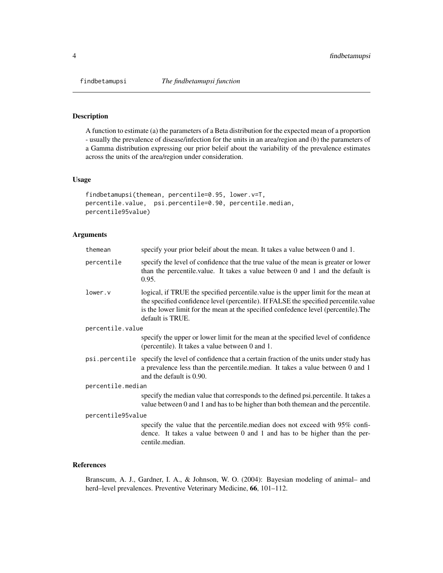<span id="page-3-0"></span>

# Description

A function to estimate (a) the parameters of a Beta distribution for the expected mean of a proportion - usually the prevalence of disease/infection for the units in an area/region and (b) the parameters of a Gamma distribution expressing our prior beleif about the variability of the prevalence estimates across the units of the area/region under consideration.

# Usage

```
findbetamupsi(themean, percentile=0.95, lower.v=T,
percentile.value, psi.percentile=0.90, percentile.median,
percentile95value)
```
# Arguments

| themean           | specify your prior beleif about the mean. It takes a value between 0 and 1.                                                                                                                                                                                                           |  |  |  |  |
|-------------------|---------------------------------------------------------------------------------------------------------------------------------------------------------------------------------------------------------------------------------------------------------------------------------------|--|--|--|--|
| percentile        | specify the level of confidence that the true value of the mean is greater or lower<br>than the percentile value. It takes a value between 0 and 1 and the default is<br>0.95.                                                                                                        |  |  |  |  |
| lower.v           | logical, if TRUE the specified percentile value is the upper limit for the mean at<br>the specified confidence level (percentile). If FALSE the specified percentile value<br>is the lower limit for the mean at the specified confedence level (percentile). The<br>default is TRUE. |  |  |  |  |
| percentile.value  |                                                                                                                                                                                                                                                                                       |  |  |  |  |
|                   | specify the upper or lower limit for the mean at the specified level of confidence<br>(percentile). It takes a value between 0 and 1.                                                                                                                                                 |  |  |  |  |
|                   | psi.percentile specify the level of confidence that a certain fraction of the units under study has<br>a prevalence less than the percentile median. It takes a value between 0 and 1<br>and the default is 0.90.                                                                     |  |  |  |  |
| percentile.median |                                                                                                                                                                                                                                                                                       |  |  |  |  |
|                   | specify the median value that corresponds to the defined psi.percentile. It takes a<br>value between 0 and 1 and has to be higher than both the mean and the percentile.                                                                                                              |  |  |  |  |
| percentile95value |                                                                                                                                                                                                                                                                                       |  |  |  |  |
|                   | specify the value that the percentile.median does not exceed with 95% confi-<br>dence. It takes a value between $0$ and $1$ and has to be higher than the per-<br>centile.median.                                                                                                     |  |  |  |  |

# References

Branscum, A. J., Gardner, I. A., & Johnson, W. O. (2004): Bayesian modeling of animal– and herd–level prevalences. Preventive Veterinary Medicine, 66, 101–112.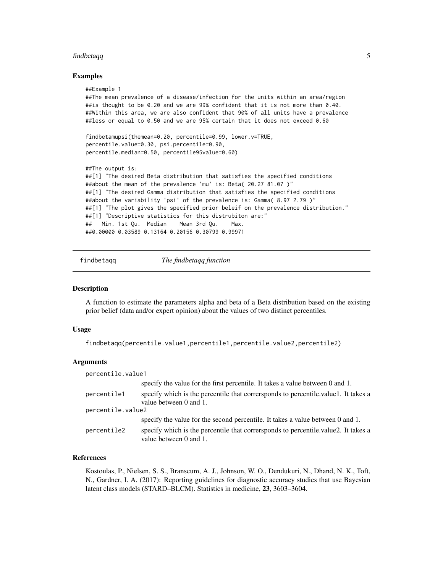#### <span id="page-4-0"></span>findbetaqq 5

#### Examples

```
##Example 1
##The mean prevalence of a disease/infection for the units within an area/region
##is thought to be 0.20 and we are 99% confident that it is not more than 0.40.
##Within this area, we are also confident that 90% of all units have a prevalence
##less or equal to 0.50 and we are 95% certain that it does not exceed 0.60
findbetamupsi(themean=0.20, percentile=0.99, lower.v=TRUE,
percentile.value=0.30, psi.percentile=0.90,
percentile.median=0.50, percentile95value=0.60)
##The output is:
##[1] "The desired Beta distribution that satisfies the specified conditions
##about the mean of the prevalence 'mu' is: Beta( 20.27 81.07 )"
##[1] "The desired Gamma distribution that satisfies the specified conditions
##about the variability 'psi' of the prevalence is: Gamma( 8.97 2.79 )"
##[1] "The plot gives the specified prior beleif on the prevalence distribution."
##[1] "Descriptive statistics for this distrubiton are:"
## Min. 1st Qu. Median Mean 3rd Qu. Max.
##0.00000 0.03589 0.13164 0.20156 0.30799 0.99971
```
findbetaqq *The findbetaqq function*

#### **Description**

A function to estimate the parameters alpha and beta of a Beta distribution based on the existing prior belief (data and/or expert opinion) about the values of two distinct percentiles.

#### Usage

```
findbetaqq(percentile.value1,percentile1,percentile.value2,percentile2)
```
#### **Arguments**

| percentile.value1 |                                                                                                              |  |  |  |
|-------------------|--------------------------------------------------------------------------------------------------------------|--|--|--|
|                   | specify the value for the first percentile. It takes a value between 0 and 1.                                |  |  |  |
| percentile1       | specify which is the percentile that corresponds to percentile value 1. It takes a<br>value between 0 and 1. |  |  |  |
| percentile.value2 |                                                                                                              |  |  |  |
|                   | specify the value for the second percentile. It takes a value between 0 and 1.                               |  |  |  |
| percentile2       | specify which is the percentile that corresponds to percentile value 2. It takes a<br>value between 0 and 1. |  |  |  |

### References

Kostoulas, P., Nielsen, S. S., Branscum, A. J., Johnson, W. O., Dendukuri, N., Dhand, N. K., Toft, N., Gardner, I. A. (2017): Reporting guidelines for diagnostic accuracy studies that use Bayesian latent class models (STARD–BLCM). Statistics in medicine, 23, 3603–3604.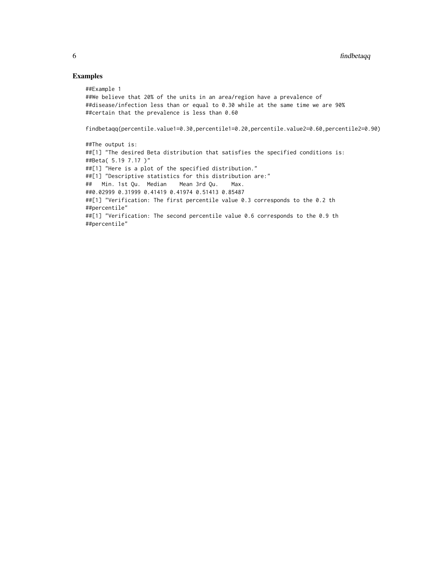# Examples

##Example 1

##We believe that 20% of the units in an area/region have a prevalence of ##disease/infection less than or equal to 0.30 while at the same time we are 90% ##certain that the prevalence is less than 0.60

findbetaqq(percentile.value1=0.30,percentile1=0.20,percentile.value2=0.60,percentile2=0.90)

##The output is: ##[1] "The desired Beta distribution that satisfies the specified conditions is: ##Beta( 5.19 7.17 )" ##[1] "Here is a plot of the specified distribution." ##[1] "Descriptive statistics for this distribution are:" ## Min. 1st Qu. Median Mean 3rd Qu. Max. ##0.02999 0.31999 0.41419 0.41974 0.51413 0.85487 ##[1] "Verification: The first percentile value 0.3 corresponds to the 0.2 th ##percentile" ##[1] "Verification: The second percentile value 0.6 corresponds to the 0.9 th ##percentile"